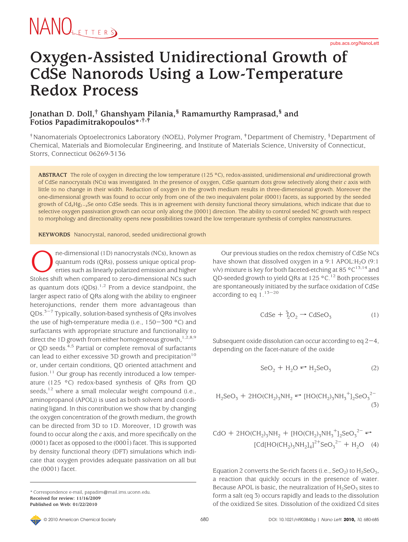#### **Oxygen-Assisted Unidirectional Growth of CdSe Nanorods Using a Low-Temperature Redox Process**

#### **Jonathan D. Doll,† Ghanshyam Pilania,§ Ramamurthy Ramprasad,§ and Fotios Papadimitrakopoulos\*,†,‡**

†Nanomaterials Optoelectronics Laboratory (NOEL), Polymer Program, ‡Department of Chemistry, §Department of Chemical, Materials and Biomolecular Engineering, and Institute of Materials Science, University of Connecticut, Storrs, Connecticut 06269-3136

**ABSTRACT** The role of oxygen in directing the low temperature (125 °C), redox-assisted, unidimensional *and* unidirectional growth of CdSe nanocrystals (NCs) was investigated. In the presence of oxygen, CdSe quantum dots grow selectively along their *c* axis with little to no change in their width. Reduction of oxygen in the growth medium results in three-dimensional growth. Moreover the one-dimensional growth was found to occur only from one of the two inequivalent polar (0001) facets, as supported by the seeded growth of Cd*x*Hg1-*<sup>x</sup>*Se onto CdSe seeds. This is in agreement with density functional theory simulations, which indicate that due to selective oxygen passivation growth can occur only along the [0001] direction. The ability to control seeded NC growth with respect to morphology and directionality opens new possibilities toward the low temperature synthesis of complex nanostructures.

**KEYWORDS** Nanocrystal, nanorod, seeded unidirectional growth

**OREGONAL CONSTRANGED** ne-dimensional (1D) nanocrystals (NCs), known as quantum rods (QRs), possess unique optical properties such as linearly polarized emission and higher Stokes shift when compared to zero-dimensional NC quantum rods (QRs), possess unique optical properties such as linearly polarized emission and higher Stokes shift when compared to zero-dimensional NCs such as quantum dots  $(QDs)$ .<sup>1,2</sup> From a device standpoint, the larger aspect ratio of QRs along with the ability to engineer heterojunctions, render them more advantageous than  $ODs.<sup>3-7</sup>$  Typically, solution-based synthesis of ORs involves the use of high-temperature media (i.e., 150-300 °C) and surfactants with appropriate structure and functionality to direct the 1D growth from either homogeneous growth,  $1,2,8,9$ or OD seeds.<sup>4,5</sup> Partial or complete removal of surfactants can lead to either excessive 3D growth and precipitation<sup>10</sup> or, under certain conditions, QD oriented attachment and fusion. $11$  Our group has recently introduced a low temperature (125 °C) redox-based synthesis of QRs from QD seeds,<sup>12</sup> where a small molecular weight compound (i.e., aminopropanol (APOL)) is used as both solvent and coordinating ligand. In this contribution we show that by changing the oxygen concentration of the growth medium, the growth can be directed from 3D to 1D. Moreover, 1D growth was found to occur along the *c* axis, and more specifically on the  $(0001)$  facet as opposed to the  $(0001)$  facet. This is supported by density functional theory (DFT) simulations which indicate that oxygen provides adequate passivation on all but the (0001) facet.

\* Correspondence e-mail, papadim@mail.ims.uconn.edu. **Received for review: 11/16/2009 Published on Web: 01/22/2010**

Our previous studies on the redox chemistry of CdSe NCs have shown that dissolved oxygen in a 9:1 APOL: $H_2O$  (9:1) v/v) mixture is key for both faceted-etching at 85  $^{\circ}$ C<sup>13,14</sup> and QD-seeded growth to yield QRs at  $125$  °C.<sup>12</sup> Both processes are spontaneously initiated by the surface oxidation of CdSe according to eq  $1.^{13-20}$ 

$$
CdSe + \frac{3}{2}O_2 \rightarrow CdSeO_3 \tag{1}
$$

Subsequent oxide dissolution can occur according to eq  $2-4$ , depending on the facet-nature of the oxide

$$
SeO2 + H2O \leftrightarrow H2SeO3
$$
 (2)

$$
H_2SeO_3 + 2HO(CH_2)_5NH_2 \leftrightarrow [HO(CH_2)_5NH_3^+]_2SeO_3^{2-}
$$
(3)

$$
CdO + 2HO(CH2)3NH2 + [HO(CH2)3NH3+]2SeO32- \Leftrightarrow
$$
  
\n[Cd[HO(CH<sub>2</sub>)<sub>3</sub>NH<sub>2</sub>]<sub>4</sub>]<sup>2+</sup>SeO<sub>3</sub><sup>2-</sup> + H<sub>2</sub>O (4)

Equation 2 converts the Se-rich facets (i.e.,  $SeO<sub>2</sub>$ ) to  $H<sub>2</sub>SeO<sub>3</sub>$ , a reaction that quickly occurs in the presence of water. Because APOL is basic, the neutralization of  $H_2$ SeO<sub>3</sub> sites to form a salt (eq 3) occurs rapidly and leads to the dissolution of the oxidized Se sites. Dissolution of the oxidized Cd sites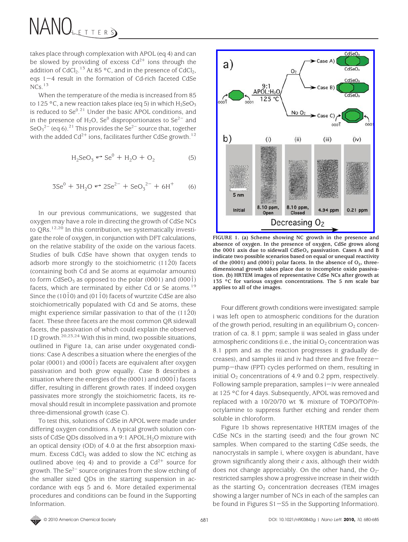takes place through complexation with APOL (eq 4) and can be slowed by providing of excess  $Cd^{2+}$  ions through the addition of CdCl<sub>2</sub>.<sup>13</sup> At 85 °C, and in the presence of CdCl<sub>2</sub>, eqs 1-4 result in the formation of Cd-rich faceted CdSe  $NCs.$ <sup>13</sup>

When the temperature of the media is increased from 85 to 125 °C, a new reaction takes place (eq 5) in which  $H_2$ SeO<sub>3</sub> is reduced to  $\text{Se}^{0.21}$  Under the basic APOL conditions, and in the presence of  $H_2O$ , Se<sup>0</sup> disproportionates to Se<sup>2-</sup> and  $\text{SeO}_3^2$ <sup>-</sup> (eq 6).<sup>21</sup> This provides the Se<sup>2-</sup> source that, together with the added  $Cd^{2+}$  ions, facilitates further CdSe growth.<sup>12</sup>

$$
H_2SeO_3 \leftrightarrow Se^0 + H_2O + O_2 \tag{5}
$$

$$
3Se^{0} + 3H_{2}O \Leftrightarrow 2Se^{2-} + SeO_{3}^{2-} + 6H^{+}
$$
 (6)

In our previous communications, we suggested that oxygen may have a role in directing the growth of CdSe NCs to QRs.<sup>12,20</sup> In this contribution, we systematically investigate the role of oxygen, in conjunction with DFT calculations, on the relative stability of the oxide on the various facets. Studies of bulk CdSe have shown that oxygen tends to adsorb more strongly to the stoichiometric  $(1120)$  facets (containing both Cd and Se atoms at equimolar amounts) to form  $CdSeO<sub>3</sub>$  as opposed to the polar (0001) and (0001) facets, which are terminated by either Cd or Se atoms.<sup>19</sup> Since the (1010) and (0110) facets of wurtzite CdSe are also stoichiometrically populated with Cd and Se atoms, these might experience similar passivation to that of the  $(11\overline{2}0)$ facet. These three facets are the most common QR sidewall facets, the passivation of which could explain the observed 1D growth. $20,23,24$  With this in mind, two possible situations, outlined in Figure 1a, can arise under oxygenated conditions: Case A describes a situation where the energies of the polar (0001) and (0001) facets are equivalent after oxygen passivation and both grow equally. Case B describes a situation where the energies of the  $(0001)$  and  $(0001)$  facets differ, resulting in different growth rates. If indeed oxygen passivates more strongly the stoichiometric facets, its removal should result in incomplete passivation and promote three-dimensional growth (case C).

To test this, solutions of CdSe in APOL were made under differing oxygen conditions. A typical growth solution consists of CdSe QDs dissolved in a 9:1 APOL:H<sub>2</sub>O mixture with an optical density (OD) of 4.0 at the first absorption maximum. Excess  $CdCl<sub>2</sub>$  was added to slow the NC etching as outlined above (eq 4) and to provide a  $Cd^{2+}$  source for growth. The  $\text{Se}^{2-}$  source originates from the slow etching of the smaller sized QDs in the starting suspension in accordance with eqs 5 and 6. More detailed experimental procedures and conditions can be found in the Supporting Information.



**FIGURE 1. (a) Scheme showing NC growth in the presence and absence of oxygen. In the presence of oxygen, CdSe grows along the 0001 axis due to sidewall CdSeO***<sup>x</sup>* **passivation. Cases A and B indicate two possible scenarios based on equal or unequal reactivity** of the (0001) and (0001) polar facets. In the absence of  $O_2$ , three**dimensional growth takes place due to incomplete oxide passivation. (b) HRTEM images of representative CdSe NCs after growth at 135 °C for various oxygen concentrations. The 5 nm scale bar applies to all of the images.**

Four different growth conditions were investigated: sample i was left open to atmospheric conditions for the duration of the growth period, resulting in an equilibrium  $O_2$  concentration of ca. 8.1 ppm; sample ii was sealed in glass under atmospheric conditions (i.e., the initial  $O_2$  concentration was 8.1 ppm and as the reaction progresses it gradually decreases), and samples iii and iv had three and five freezepump-thaw (FPT) cycles performed on them, resulting in initial  $O_2$  concentrations of 4.9 and 0.2 ppm, respectively. Following sample preparation, samples  $i$ -iv were annealed at 125 °C for 4 days. Subsequently, APOL was removed and replaced with a 10/20/70 wt % mixture of TOPO/TOP/*n*octylamine to suppress further etching and render them soluble in chloroform.

Figure 1b shows representative HRTEM images of the CdSe NCs in the starting (seed) and the four grown NC samples. When compared to the starting CdSe seeds, the nanocrystals in sample i, where oxygen is abundant, have grown significantly along their *c* axis, although their width does not change appreciably. On the other hand, the  $O_{2}$ restricted samples show a progressive increase in their width as the starting  $O<sub>2</sub>$  concentration decreases (TEM images showing a larger number of NCs in each of the samples can be found in Figures S1-S5 in the Supporting Information).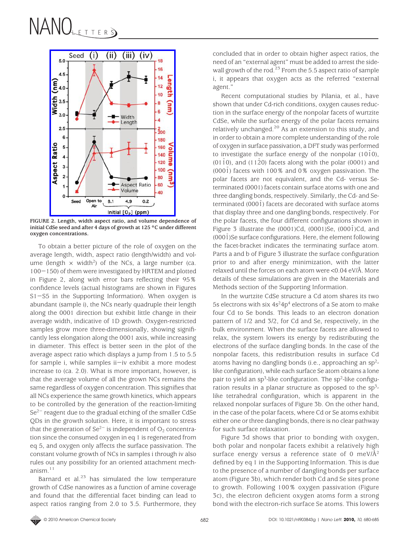

**FIGURE 2. Length, width aspect ratio, and volume dependence of initial CdSe seed and after 4 days of growth at 125 °C under different oxygen concentrations.**

To obtain a better picture of the role of oxygen on the average length, width, aspect ratio (length/width) and volume (length  $\times$  width<sup>2</sup>) of the NCs, a large number (ca. <sup>100</sup>-150) of them were investigated by HRTEM and plotted in Figure 2, along with error bars reflecting their 95% confidence levels (actual histograms are shown in Figures S1-S5 in the Supporting Information). When oxygen is abundant (sample i), the NCs nearly quadruple their length along the 0001 direction but exhibit little change in their average width, indicative of 1D growth. Oxygen-restricted samples grow more three-dimensionally, showing significantly less elongation along the 0001 axis, while increasing in diameter. This effect is better seen in the plot of the average aspect ratio which displays a jump from 1.5 to 5.5 for sample i, while samples  $i$ -iv exhibit a more modest increase to (ca. 2.0). What is more important, however, is that the average volume of all the grown NCs remains the same regardless of oxygen concentration. This signifies that all NCs experience the same growth kinetics, which appears to be controlled by the generation of the reaction-limiting Se<sup>2-</sup> reagent due to the gradual etching of the smaller CdSe QDs in the growth solution. Here, it is important to stress that the generation of  $Se^{2-}$  is independent of  $O_2$  concentration since the consumed oxygen in eq 1 is regenerated from eq 5, and oxygen only affects the surface passivation. The constant volume growth of NCs in samples i through iv also rules out any possibility for an oriented attachment mechanism $11$ 

Barnard et al. $23$  has simulated the low temperature growth of CdSe nanowires as a function of amine coverage and found that the differential facet binding can lead to aspect ratios ranging from 2.0 to 3.5. Furthermore, they concluded that in order to obtain higher aspect ratios, the need of an "external agent" must be added to arrest the sidewall growth of the rod.<sup>23</sup> From the 5.5 aspect ratio of sample i, it appears that oxygen acts as the referred "external agent."

Recent computational studies by Pilania, et al., have shown that under Cd-rich conditions, oxygen causes reduction in the surface energy of the nonpolar facets of wurtzite CdSe, while the surface energy of the polar facets remains relatively unchanged.20 As an extension to this study, and in order to obtain a more complete understanding of the role of oxygen in surface passivation, a DFT study was performed to investigate the surface energy of the nonpolar  $(10\bar{1}0)$ , (0110), and (112 $\overline{0}$ ) facets along with the polar (0001) and  $(000\bar{1})$  facets with 100% and 0% oxygen passivation. The polar facets are not equivalent, and the Cd- versus Seterminated (0001) facets contain surface atoms with one and three dangling bonds, respectively. Similarly, the Cd- and Seterminated (0001) facets are decorated with surface atoms that display three and one dangling bonds, respectively. For the polar facets, the four different configurations shown in Figure 3 illustrate the  $(0001)$ Cd,  $(0001)$ Se,  $(0001)$ Cd, and  $(000\bar{1})$ Se surface configurations. Here, the element following the facet-bracket indicates the terminating surface atom. Parts a and b of Figure 3 illustrate the surface configuration prior to and after energy minimization, with the latter relaxed until the forces on each atom were <0.04 eV/Å. More details of these simulations are given in the Materials and Methods section of the Supporting Information.

In the wurtzite CdSe structure a Cd atom shares its two 5s electrons with six  $4s^24p^4$  electrons of a Se atom to make four Cd to Se bonds. This leads to an electron donation pattern of 1/2 and 3/2, for Cd and Se, respectively, in the bulk environment. When the surface facets are allowed to relax, the system lowers its energy by redistributing the electrons of the surface dangling bonds. In the case of the nonpolar facets, this redistribution results in surface Cd atoms having no dangling bonds (i.e., approaching an  $sp^2$ like configuration), while each surface Se atom obtains a lone pair to yield an  $sp^3$ -like configuration. The  $sp^2$ -like configuration results in a planar structure as opposed to the  $sp^3$ like tetrahedral configuration, which is apparent in the relaxed nonpolar surfaces of Figure 3b. On the other hand, in the case of the polar facets, where Cd or Se atoms exhibit either one or three dangling bonds, there is no clear pathway for such surface relaxation.

Figure 3d shows that prior to bonding with oxygen, both polar and nonpolar facets exhibit a relatively high surface energy versus a reference state of 0 meV/ $\AA$ <sup>2</sup> defined by eq 1 in the Supporting Information. This is due to the presence of a number of dangling bonds per surface atom (Figure 3b), which render both Cd and Se sites prone to growth. Following 100% oxygen passivation (Figure 3c), the electron deficient oxygen atoms form a strong bond with the electron-rich surface Se atoms. This lowers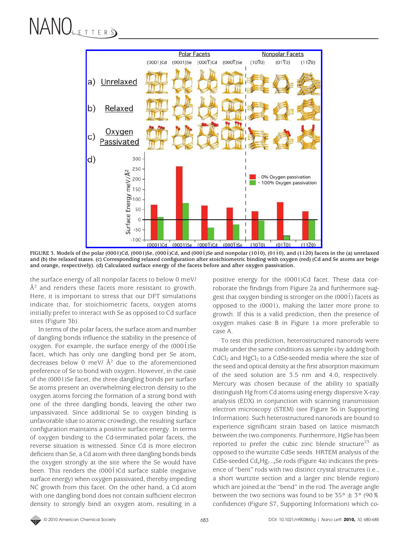

FIGURE 3. Models of the polar (0001)Cd, (0001)Se, (0001)Cd, and (0001)Se and nonpolar (101<sup>o</sup>), (011<sup>o</sup>), and (11<sup>2</sup><sup>o</sup>) facets in the (a) unrelaxed **and (b) the relaxed states. (c) Corresponding relaxed configuration after stoichiometric binding with oxygen (red) (Cd and Se atoms are beige and orange, respectively). (d) Calculated surface energy of the facets before and after oxygen passivation.**

the surface energy of all nonpolar facets to below 0 meV/  $\AA^2$  and renders these facets more resistant to growth. Here, it is important to stress that our DFT simulations indicate that, for stoichiometric facets, oxygen atoms initially prefer to interact with Se as opposed to Cd surface sites (Figure 3b).

In terms of the polar facets, the surface atom and number of dangling bonds influence the stability in the presence of oxygen. For example, the surface energy of the (0001)Se facet, which has only one dangling bond per Se atom, decreases below 0 meV/  $\AA^2$  due to the aforementioned preference of Se to bond with oxygen. However, in the case of the (0001)Se facet, the three dangling bonds per surface Se atoms present an overwhelming electron density to the oxygen atoms forcing the formation of a strong bond with one of the three dangling bonds, leaving the other two unpassivated. Since additional Se to oxygen binding is unfavorable (due to atomic crowding), the resulting surface configuration maintains a positive surface energy. In terms of oxygen binding to the Cd-terminated polar facets, the reverse situation is witnessed. Since Cd is more electron deficient than Se, a Cd atom with three dangling bonds binds the oxygen strongly at the site where the Se would have been. This renders the  $(0001)$ Cd surface stable (negative surface energy) when oxygen passivated, thereby impeding NC growth from this facet. On the other hand, a Cd atom with one dangling bond does not contain sufficient electron density to strongly bind an oxygen atom, resulting in a

positive energy for the (0001)Cd facet. These data corroborate the findings from Figure 2a and furthermore suggest that oxygen binding is stronger on the  $(0001)$  facets as opposed to the (0001), making the latter more prone to growth. If this is a valid prediction, then the presence of oxygen makes case B in Figure 1a more preferable to case A.

To test this prediction, heterostructured nanorods were made under the same conditions as sample i by adding both  $CdCl<sub>2</sub>$  and HgCl<sub>2</sub> to a CdSe-seeded media where the size of the seed and optical density at the first absorption maximum of the seed solution are 3.5 nm and 4.0, respectively. Mercury was chosen because of the ability to spatially distinguish Hg from Cd atoms using energy dispersive X-ray analysis (EDX) in conjunction with scanning transmission electron microscopy (STEM) (see Figure S6 in Supporting Information). Such heterostructured nanorods are bound to experience significant strain based on lattice mismatch between the two components. Furthermore, HgSe has been reported to prefer the cubic zinc blende structure<sup>23</sup> as opposed to the wurtzite CdSe seeds. HRTEM analysis of the CdSe-seeded Cd*x*Hg1-*<sup>x</sup>*Se rods (Figure 4a) indicates the presence of "bent" rods with two distinct crystal structures (i.e., a short wurtzite section and a larger zinc blende region) which are joined at the "bend" in the rod. The average angle between the two sections was found to be  $35^{\circ} \pm 3^{\circ}$  (90%) confidence) (Figure S7, Supporting Information) which co-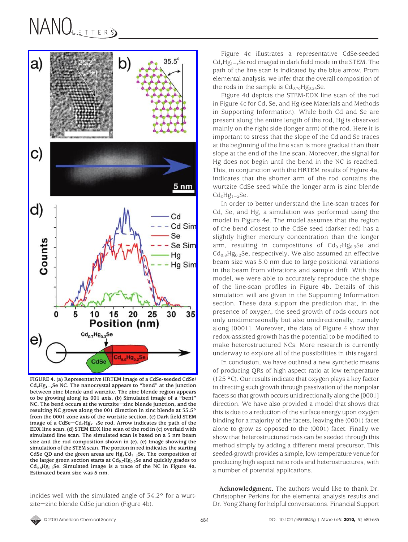

**FIGURE 4. (a) Representative HRTEM image of a CdSe-seeded CdSe/ Cd***x***Hg1**-*<sup>x</sup>***Se NC. The nanocrystal appears to "bend" at the junction between zinc blende and wurtzite. The zinc blende region appears to be growing along its 001 axis. (b) Simulated image of a "bent" NC. The bend occurs at the wurtzite**-**zinc blende junction, and the resulting NC grows along the 001 direction in zinc blende at 35.5° from the 0001 zone axis of the wurtzite section. (c) Dark field STEM image of a CdSe**-**Cd***x***Hg***<sup>x</sup>*-**1Se rod. Arrow indicates the path of the EDX line scan. (d) STEM EDX line scan of the rod in (c) overlaid with simulated line scan. The simulated scan is based on a 5 nm beam size and the rod composition shown in (e). (e) Image showing the simulation of the STEM scan. The portion in red indicates the starting CdSe QD and the green areas are Hg***x***Cd1**-*<sup>x</sup>***Se. The composition of** the larger green section starts at Cd<sub>0.7</sub>Hg<sub>0.3</sub>Se and quickly grades to **Cd0.8Hg0.2Se. Simulated image is a trace of the NC in Figure 4a. Estimated beam size was 5 nm.**

incides well with the simulated angle of 34.2° for a wurtzite-zinc blende CdSe junction (Figure 4b).

Figure 4c illustrates a representative CdSe-seeded Cd*x*Hg1-*<sup>x</sup>*Se rod imaged in dark field mode in the STEM. The path of the line scan is indicated by the blue arrow. From elemental analysis, we infer that the overall composition of the rods in the sample is  $Cd_{0.76}Hg_{0.24}Se$ .

Figure 4d depicts the STEM-EDX line scan of the rod in Figure 4c for Cd, Se, and Hg (see Materials and Methods in Supporting Information). While both Cd and Se are present along the entire length of the rod, Hg is observed mainly on the right side (longer arm) of the rod. Here it is important to stress that the slope of the Cd and Se traces at the beginning of the line scan is more gradual than their slope at the end of the line scan. Moreover, the signal for Hg does not begin until the bend in the NC is reached. This, in conjunction with the HRTEM results of Figure 4a, indicates that the shorter arm of the rod contains the wurtzite CdSe seed while the longer arm is zinc blende  $Cd<sub>x</sub>Hg<sub>1-x</sub>Se.$ 

In order to better understand the line-scan traces for Cd, Se, and Hg, a simulation was performed using the model in Figure 4e. The model assumes that the region of the bend closest to the CdSe seed (darker red) has a slightly higher mercury concentration than the longer arm, resulting in compositions of  $Cd_{0.7}Hg_{0.3}Se$  and  $Cd_{0.8}Hg_{0.2}Se$ , respectively. We also assumed an effective beam size was 5.0 nm due to large positional variations in the beam from vibrations and sample drift. With this model, we were able to accurately reproduce the shape of the line-scan profiles in Figure 4b. Details of this simulation will are given in the Supporting Information section. These data support the prediction that, in the presence of oxygen, the seed growth of rods occurs not only unidimensionally but also unidirectionally, namely along [0001]. Moreover, the data of Figure 4 show that redox-assisted growth has the potential to be modified to make heterostructured NCs. More research is currently underway to explore all of the possibilities in this regard.

In conclusion, we have outlined a new synthetic means of producing QRs of high aspect ratio at low temperature (125 °C). Our results indicate that oxygen plays a key factor in directing such growth through passivation of the nonpolar facets so that growth occurs unidirectionally along the [0001] direction. We have also provided a model that shows that this is due to a reduction of the surface energy upon oxygen binding for a majority of the facets, leaving the (0001) facet alone to grow as opposed to the  $(000\bar{1})$  facet. Finally we show that heterostructured rods can be seeded through this method simply by adding a different metal precursor. This seeded-growth provides a simple, low-temperature venue for producing high aspect ratio rods and heterostructures, with a number of potential applications.

**Acknowledgment.** The authors would like to thank Dr. Christopher Perkins for the elemental analysis results and Dr. Yong Zhang for helpful conversations. Financial Support